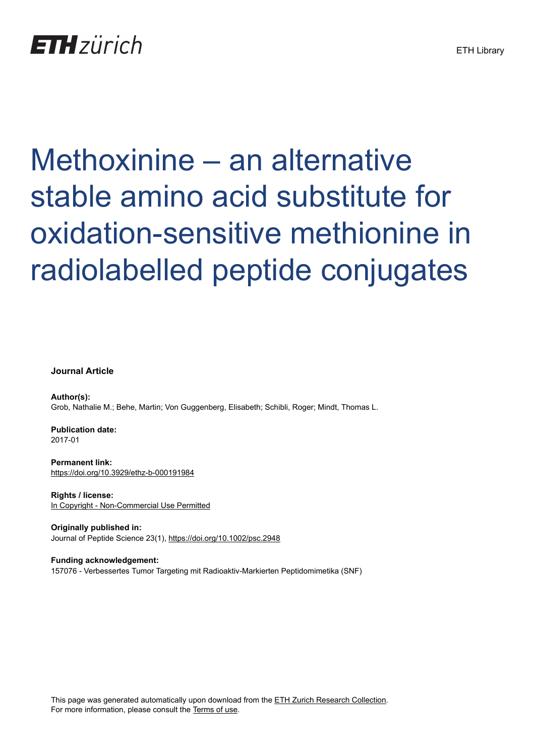

# Methoxinine – an alternative stable amino acid substitute for oxidation-sensitive methionine in radiolabelled peptide conjugates

**Journal Article**

**Author(s):** Grob, Nathalie M.; Behe, Martin; Von Guggenberg, Elisabeth; Schibli, Roger; Mindt, Thomas L.

**Publication date:** 2017-01

**Permanent link:** <https://doi.org/10.3929/ethz-b-000191984>

**Rights / license:** [In Copyright - Non-Commercial Use Permitted](http://rightsstatements.org/page/InC-NC/1.0/)

**Originally published in:** Journal of Peptide Science 23(1), <https://doi.org/10.1002/psc.2948>

**Funding acknowledgement:** 157076 - Verbessertes Tumor Targeting mit Radioaktiv-Markierten Peptidomimetika (SNF)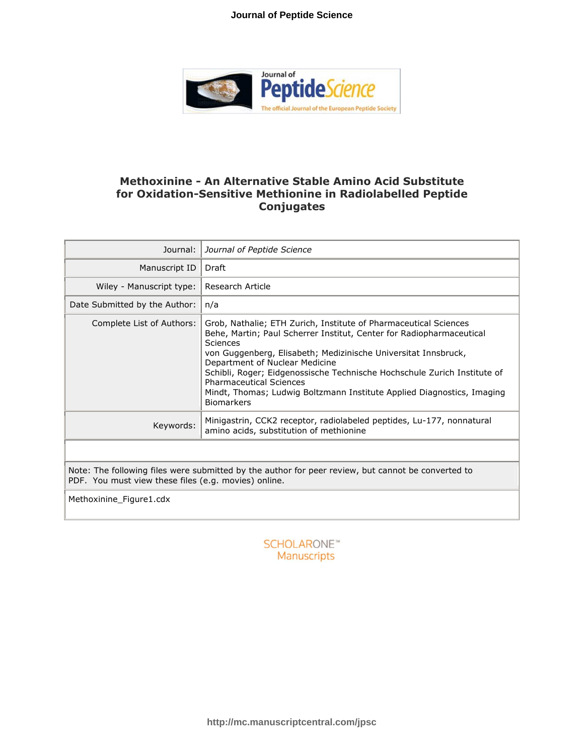#### **Journal of Peptide Science**



## **Methoxinine - An Alternative Stable Amino Acid Substitute for Oxidation-Sensitive Methionine in Radiolabelled Peptide Conjugates**

| Journal:                                                                                                                                                   | Journal of Peptide Science                                                                                                                                                                                                                                                                                                                                                                                                                                            |  |  |  |  |
|------------------------------------------------------------------------------------------------------------------------------------------------------------|-----------------------------------------------------------------------------------------------------------------------------------------------------------------------------------------------------------------------------------------------------------------------------------------------------------------------------------------------------------------------------------------------------------------------------------------------------------------------|--|--|--|--|
| Manuscript ID                                                                                                                                              | Draft                                                                                                                                                                                                                                                                                                                                                                                                                                                                 |  |  |  |  |
| Wiley - Manuscript type:                                                                                                                                   | Research Article                                                                                                                                                                                                                                                                                                                                                                                                                                                      |  |  |  |  |
| Date Submitted by the Author:                                                                                                                              | n/a                                                                                                                                                                                                                                                                                                                                                                                                                                                                   |  |  |  |  |
| Complete List of Authors:                                                                                                                                  | Grob, Nathalie; ETH Zurich, Institute of Pharmaceutical Sciences<br>Behe, Martin; Paul Scherrer Institut, Center for Radiopharmaceutical<br>Sciences<br>von Guggenberg, Elisabeth; Medizinische Universitat Innsbruck,<br>Department of Nuclear Medicine<br>Schibli, Roger; Eidgenossische Technische Hochschule Zurich Institute of<br><b>Pharmaceutical Sciences</b><br>Mindt, Thomas; Ludwig Boltzmann Institute Applied Diagnostics, Imaging<br><b>Biomarkers</b> |  |  |  |  |
| Keywords:                                                                                                                                                  | Minigastrin, CCK2 receptor, radiolabeled peptides, Lu-177, nonnatural<br>amino acids, substitution of methionine                                                                                                                                                                                                                                                                                                                                                      |  |  |  |  |
|                                                                                                                                                            |                                                                                                                                                                                                                                                                                                                                                                                                                                                                       |  |  |  |  |
| Note: The following files were submitted by the author for peer review, but cannot be converted to<br>PDF. You must view these files (e.g. movies) online. |                                                                                                                                                                                                                                                                                                                                                                                                                                                                       |  |  |  |  |
| Methoxinine Figure1.cdx                                                                                                                                    |                                                                                                                                                                                                                                                                                                                                                                                                                                                                       |  |  |  |  |

**SCHOLARONE™** Manuscripts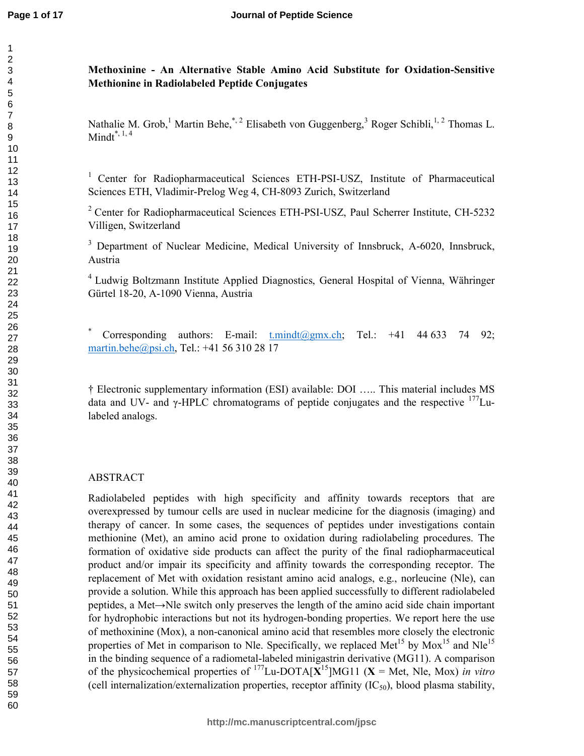## **Methoxinine - An Alternative Stable Amino Acid Substitute for Oxidation-Sensitive Methionine in Radiolabeled Peptide Conjugates**

Nathalie M. Grob,<sup>1</sup> Martin Behe,<sup>\*, 2</sup> Elisabeth von Guggenberg,<sup>3</sup> Roger Schibli,<sup>1, 2</sup> Thomas L. Mindt $*$ ,  $1, 4$ 

<sup>1</sup> Center for Radiopharmaceutical Sciences ETH-PSI-USZ, Institute of Pharmaceutical Sciences ETH, Vladimir-Prelog Weg 4, CH-8093 Zurich, Switzerland

<sup>2</sup> Center for Radiopharmaceutical Sciences ETH-PSI-USZ, Paul Scherrer Institute, CH-5232 Villigen, Switzerland

<sup>3</sup> Department of Nuclear Medicine, Medical University of Innsbruck, A-6020, Innsbruck, Austria

Ludwig Boltzmann Institute Applied Diagnostics, General Hospital of Vienna, Währinger Gürtel 18-20, A-1090 Vienna, Austria

Corresponding authors: E-mail:  $t.mindt@gmx.ch$ ; Tel.: +41 44 633 74 92; martin.behe@psi.ch, Tel.: +41 56 310 28 17

† Electronic supplementary information (ESI) available: DOI ….. This material includes MS data and UV- and  $\gamma$ -HPLC chromatograms of peptide conjugates and the respective  $177$ Lulabeled analogs.

## ABSTRACT

Radiolabeled peptides with high specificity and affinity towards receptors that are overexpressed by tumour cells are used in nuclear medicine for the diagnosis (imaging) and therapy of cancer. In some cases, the sequences of peptides under investigations contain methionine (Met), an amino acid prone to oxidation during radiolabeling procedures. The formation of oxidative side products can affect the purity of the final radiopharmaceutical product and/or impair its specificity and affinity towards the corresponding receptor. The replacement of Met with oxidation resistant amino acid analogs, e.g., norleucine (Nle), can provide a solution. While this approach has been applied successfully to different radiolabeled peptides, a Met→Nle switch only preserves the length of the amino acid side chain important for hydrophobic interactions but not its hydrogen-bonding properties. We report here the use of methoxinine (Mox), a non-canonical amino acid that resembles more closely the electronic properties of Met in comparison to Nle. Specifically, we replaced Met<sup>15</sup> by Mox<sup>15</sup> and Nle<sup>15</sup> in the binding sequence of a radiometal-labeled minigastrin derivative (MG11). A comparison of the physicochemical properties of  $^{177}$ Lu-DOTA[ $X$ <sup>15</sup>]MG11 ( $X$  = Met, Nle, Mox) *in vitro* (cell internalization/externalization properties, receptor affinity  $(IC_{50})$ , blood plasma stability,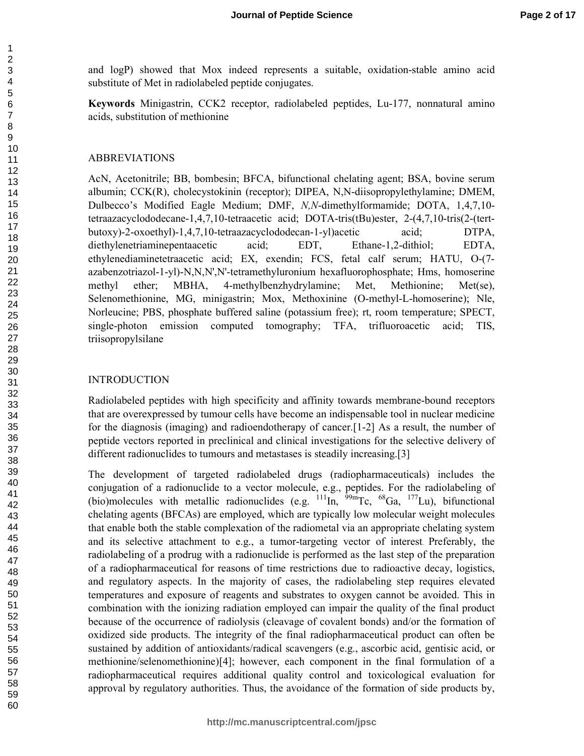and logP) showed that Mox indeed represents a suitable, oxidation-stable amino acid substitute of Met in radiolabeled peptide conjugates.

**Keywords** Minigastrin, CCK2 receptor, radiolabeled peptides, Lu-177, nonnatural amino acids, substitution of methionine

#### ABBREVIATIONS

AcN, Acetonitrile; BB, bombesin; BFCA, bifunctional chelating agent; BSA, bovine serum albumin; CCK(R), cholecystokinin (receptor); DIPEA, N,N-diisopropylethylamine; DMEM, Dulbecco's Modified Eagle Medium; DMF, *N,N*-dimethylformamide; DOTA, 1,4,7,10 tetraazacyclododecane-1,4,7,10-tetraacetic acid; DOTA-tris(tBu)ester, 2-(4,7,10-tris(2-(tertbutoxy)-2-oxoethyl)-1,4,7,10-tetraazacyclododecan-1-yl)acetic acid; DTPA, diethylenetriaminepentaacetic acid; EDT, Ethane-1,2-dithiol; EDTA, ethylenediaminetetraacetic acid; EX, exendin; FCS, fetal calf serum; HATU, O-(7 azabenzotriazol-1-yl)-N,N,N',N'-tetramethyluronium hexafluorophosphate; Hms, homoserine methyl ether; MBHA, 4-methylbenzhydrylamine; Met, Methionine; Met(se), Selenomethionine, MG, minigastrin; Mox, Methoxinine (O-methyl-L-homoserine); Nle, Norleucine; PBS, phosphate buffered saline (potassium free); rt, room temperature; SPECT, single-photon emission computed tomography; TFA, trifluoroacetic acid; TIS, triisopropylsilane

#### INTRODUCTION

Radiolabeled peptides with high specificity and affinity towards membrane-bound receptors that are overexpressed by tumour cells have become an indispensable tool in nuclear medicine for the diagnosis (imaging) and radioendotherapy of cancer.[1-2] As a result, the number of peptide vectors reported in preclinical and clinical investigations for the selective delivery of different radionuclides to tumours and metastases is steadily increasing.[3]

The development of targeted radiolabeled drugs (radiopharmaceuticals) includes the conjugation of a radionuclide to a vector molecule, e.g., peptides. For the radiolabeling of (bio)molecules with metallic radionuclides (e.g.  $^{111}$ In,  $^{99m}$ Tc,  $^{68}$ Ga,  $^{177}$ Lu), bifunctional chelating agents (BFCAs) are employed, which are typically low molecular weight molecules that enable both the stable complexation of the radiometal via an appropriate chelating system and its selective attachment to e.g., a tumor-targeting vector of interest. Preferably, the radiolabeling of a prodrug with a radionuclide is performed as the last step of the preparation of a radiopharmaceutical for reasons of time restrictions due to radioactive decay, logistics, and regulatory aspects. In the majority of cases, the radiolabeling step requires elevated temperatures and exposure of reagents and substrates to oxygen cannot be avoided. This in combination with the ionizing radiation employed can impair the quality of the final product because of the occurrence of radiolysis (cleavage of covalent bonds) and/or the formation of oxidized side products. The integrity of the final radiopharmaceutical product can often be sustained by addition of antioxidants/radical scavengers (e.g., ascorbic acid, gentisic acid, or methionine/selenomethionine)[4]; however, each component in the final formulation of a radiopharmaceutical requires additional quality control and toxicological evaluation for approval by regulatory authorities. Thus, the avoidance of the formation of side products by,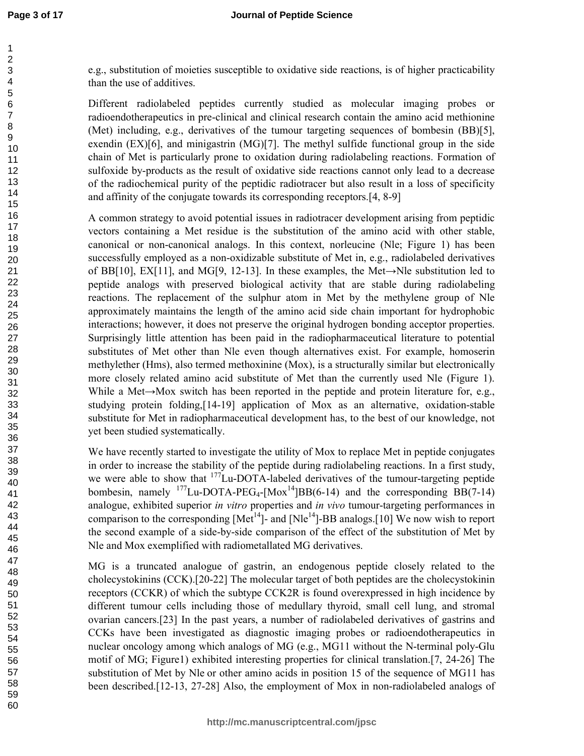#### **Journal of Peptide Science**

e.g., substitution of moieties susceptible to oxidative side reactions, is of higher practicability than the use of additives.

Different radiolabeled peptides currently studied as molecular imaging probes or radioendotherapeutics in pre-clinical and clinical research contain the amino acid methionine (Met) including, e.g., derivatives of the tumour targeting sequences of bombesin (BB)[5], exendin  $(EX)[6]$ , and minigastrin  $(MG)[7]$ . The methyl sulfide functional group in the side chain of Met is particularly prone to oxidation during radiolabeling reactions. Formation of sulfoxide by-products as the result of oxidative side reactions cannot only lead to a decrease of the radiochemical purity of the peptidic radiotracer but also result in a loss of specificity and affinity of the conjugate towards its corresponding receptors.[4, 8-9]

A common strategy to avoid potential issues in radiotracer development arising from peptidic vectors containing a Met residue is the substitution of the amino acid with other stable, canonical or non-canonical analogs. In this context, norleucine (Nle; Figure 1) has been successfully employed as a non-oxidizable substitute of Met in, e.g., radiolabeled derivatives of BB[10], EX[11], and MG[9, 12-13]. In these examples, the Met $\rightarrow$ Nle substitution led to peptide analogs with preserved biological activity that are stable during radiolabeling reactions. The replacement of the sulphur atom in Met by the methylene group of Nle approximately maintains the length of the amino acid side chain important for hydrophobic interactions; however, it does not preserve the original hydrogen bonding acceptor properties. Surprisingly little attention has been paid in the radiopharmaceutical literature to potential substitutes of Met other than Nle even though alternatives exist. For example, homoserin methylether (Hms), also termed methoxinine (Mox), is a structurally similar but electronically more closely related amino acid substitute of Met than the currently used Nle (Figure 1). While a Met $\rightarrow$ Mox switch has been reported in the peptide and protein literature for, e.g., studying protein folding,[14-19] application of Mox as an alternative, oxidation-stable substitute for Met in radiopharmaceutical development has, to the best of our knowledge, not yet been studied systematically.

We have recently started to investigate the utility of Mox to replace Met in peptide conjugates in order to increase the stability of the peptide during radiolabeling reactions. In a first study, we were able to show that <sup>177</sup>Lu-DOTA-labeled derivatives of the tumour-targeting peptide bombesin, namely  $^{177}$ Lu-DOTA-PEG<sub>4</sub>-[Mox<sup>14</sup>]BB(6-14) and the corresponding BB(7-14) analogue, exhibited superior *in vitro* properties and *in vivo* tumour-targeting performances in comparison to the corresponding  $[Met<sup>14</sup>]$ - and  $[Nle<sup>14</sup>]$ -BB analogs.[10] We now wish to report the second example of a side-by-side comparison of the effect of the substitution of Met by Nle and Mox exemplified with radiometallated MG derivatives.

MG is a truncated analogue of gastrin, an endogenous peptide closely related to the cholecystokinins (CCK).[20-22] The molecular target of both peptides are the cholecystokinin receptors (CCKR) of which the subtype CCK2R is found overexpressed in high incidence by different tumour cells including those of medullary thyroid, small cell lung, and stromal ovarian cancers.[23] In the past years, a number of radiolabeled derivatives of gastrins and CCKs have been investigated as diagnostic imaging probes or radioendotherapeutics in nuclear oncology among which analogs of MG (e.g., MG11 without the N-terminal poly-Glu motif of MG; Figure1) exhibited interesting properties for clinical translation.[7, 24-26] The substitution of Met by Nle or other amino acids in position 15 of the sequence of MG11 has been described.[12-13, 27-28] Also, the employment of Mox in non-radiolabeled analogs of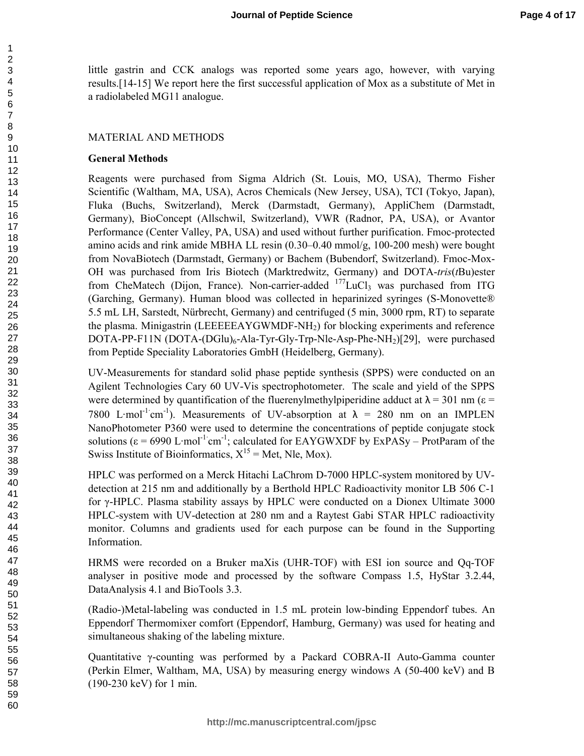little gastrin and CCK analogs was reported some years ago, however, with varying results.[14-15] We report here the first successful application of Mox as a substitute of Met in a radiolabeled MG11 analogue.

#### MATERIAL AND METHODS

#### **General Methods**

Reagents were purchased from Sigma Aldrich (St. Louis, MO, USA), Thermo Fisher Scientific (Waltham, MA, USA), Acros Chemicals (New Jersey, USA), TCI (Tokyo, Japan), Fluka (Buchs, Switzerland), Merck (Darmstadt, Germany), AppliChem (Darmstadt, Germany), BioConcept (Allschwil, Switzerland), VWR (Radnor, PA, USA), or Avantor Performance (Center Valley, PA, USA) and used without further purification. Fmoc-protected amino acids and rink amide MBHA LL resin (0.30–0.40 mmol/g, 100-200 mesh) were bought from NovaBiotech (Darmstadt, Germany) or Bachem (Bubendorf, Switzerland). Fmoc-Mox-OH was purchased from Iris Biotech (Marktredwitz, Germany) and DOTA-*tris*(*t*Bu)ester from CheMatech (Dijon, France). Non-carrier-added  $^{177}$ LuCl<sub>3</sub> was purchased from ITG (Garching, Germany). Human blood was collected in heparinized syringes (S-Monovette® 5.5 mL LH, Sarstedt, Nürbrecht, Germany) and centrifuged (5 min, 3000 rpm, RT) to separate the plasma. Minigastrin (LEEEEEAYGWMDF-NH2) for blocking experiments and reference DOTA-PP-F11N  $(DOTA-(DGlu)_6-Ala-Tyr-Gly-Trp-Nle-Asp-Phe-NH<sub>2</sub>)[29]$ , were purchased from Peptide Speciality Laboratories GmbH (Heidelberg, Germany).

UV-Measurements for standard solid phase peptide synthesis (SPPS) were conducted on an Agilent Technologies Cary 60 UV-Vis spectrophotometer. The scale and yield of the SPPS were determined by quantification of the fluerenylmethylpiperidine adduct at  $\lambda = 301$  nm ( $\epsilon$  = 7800 L·mol<sup>-1</sup>·cm<sup>-1</sup>). Measurements of UV-absorption at  $\lambda$  = 280 nm on an IMPLEN NanoPhotometer P360 were used to determine the concentrations of peptide conjugate stock solutions ( $\epsilon$  = 6990 L·mol<sup>-1·</sup>cm<sup>-1</sup>; calculated for EAYGWXDF by ExPASy – ProtParam of the Swiss Institute of Bioinformatics,  $X^{15}$  = Met, Nle, Mox).

HPLC was performed on a Merck Hitachi LaChrom D-7000 HPLC-system monitored by UVdetection at 215 nm and additionally by a Berthold HPLC Radioactivity monitor LB 506 C-1 for γ-HPLC. Plasma stability assays by HPLC were conducted on a Dionex Ultimate 3000 HPLC-system with UV-detection at 280 nm and a Raytest Gabi STAR HPLC radioactivity monitor. Columns and gradients used for each purpose can be found in the Supporting Information.

HRMS were recorded on a Bruker maXis (UHR-TOF) with ESI ion source and Qq-TOF analyser in positive mode and processed by the software Compass 1.5, HyStar 3.2.44, DataAnalysis 4.1 and BioTools 3.3.

(Radio-)Metal-labeling was conducted in 1.5 mL protein low-binding Eppendorf tubes. An Eppendorf Thermomixer comfort (Eppendorf, Hamburg, Germany) was used for heating and simultaneous shaking of the labeling mixture.

Quantitative γ-counting was performed by a Packard COBRA-II Auto-Gamma counter (Perkin Elmer, Waltham, MA, USA) by measuring energy windows A (50-400 keV) and B (190-230 keV) for 1 min.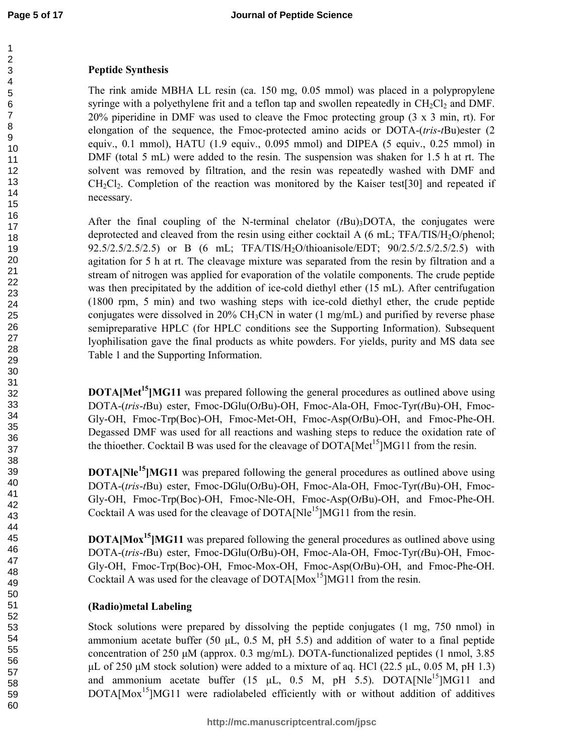## **Peptide Synthesis**

The rink amide MBHA LL resin (ca. 150 mg, 0.05 mmol) was placed in a polypropylene syringe with a polyethylene frit and a teflon tap and swollen repeatedly in  $CH_2Cl_2$  and DMF. 20% piperidine in DMF was used to cleave the Fmoc protecting group  $(3 \times 3 \text{ min}, \text{rt})$ . For elongation of the sequence, the Fmoc-protected amino acids or DOTA-(*tris*-*t*Bu)ester (2 equiv.,  $0.1 \text{ mmol}$ , HATU (1.9 equiv., 0.095 mmol) and DIPEA (5 equiv., 0.25 mmol) in DMF (total 5 mL) were added to the resin. The suspension was shaken for 1.5 h at rt. The solvent was removed by filtration, and the resin was repeatedly washed with DMF and CH2Cl2. Completion of the reaction was monitored by the Kaiser test[30] and repeated if necessary.

After the final coupling of the N-terminal chelator  $(fBu)$ <sub>3</sub>DOTA, the conjugates were deprotected and cleaved from the resin using either cocktail A  $(6 \text{ mL}; \text{TFA/TIS/H}_2\text{O/phenol};$ 92.5/2.5/2.5/2.5) or B (6 mL; TFA/TIS/H2O/thioanisole/EDT; 90/2.5/2.5/2.5/2.5) with agitation for 5 h at rt. The cleavage mixture was separated from the resin by filtration and a stream of nitrogen was applied for evaporation of the volatile components. The crude peptide was then precipitated by the addition of ice-cold diethyl ether (15 mL). After centrifugation (1800 rpm, 5 min) and two washing steps with ice-cold diethyl ether, the crude peptide conjugates were dissolved in 20% CH<sub>3</sub>CN in water (1 mg/mL) and purified by reverse phase semipreparative HPLC (for HPLC conditions see the Supporting Information). Subsequent lyophilisation gave the final products as white powders. For yields, purity and MS data see Table 1 and the Supporting Information.

**DOTA[Met<sup>15</sup>]MG11** was prepared following the general procedures as outlined above using DOTA-(*tris*-*t*Bu) ester, Fmoc-DGlu(O*t*Bu)-OH, Fmoc-Ala-OH, Fmoc-Tyr(*t*Bu)-OH, Fmoc-Gly-OH, Fmoc-Trp(Boc)-OH, Fmoc-Met-OH, Fmoc-Asp(O*t*Bu)-OH, and Fmoc-Phe-OH. Degassed DMF was used for all reactions and washing steps to reduce the oxidation rate of the thioether. Cocktail B was used for the cleavage of  $DOTA[Met^{15}]MG11$  from the resin.

**DOTA[Nle<sup>15</sup>]MG11** was prepared following the general procedures as outlined above using DOTA-(*tris*-*t*Bu) ester, Fmoc-DGlu(O*t*Bu)-OH, Fmoc-Ala-OH, Fmoc-Tyr(*t*Bu)-OH, Fmoc-Gly-OH, Fmoc-Trp(Boc)-OH, Fmoc-Nle-OH, Fmoc-Asp(O*t*Bu)-OH, and Fmoc-Phe-OH. Cocktail A was used for the cleavage of DOTA[Nle<sup>15</sup>]MG11 from the resin.

**DOTA[Mox<sup>15</sup>]MG11** was prepared following the general procedures as outlined above using DOTA-(*tris*-*t*Bu) ester, Fmoc-DGlu(O*t*Bu)-OH, Fmoc-Ala-OH, Fmoc-Tyr(*t*Bu)-OH, Fmoc-Gly-OH, Fmoc-Trp(Boc)-OH, Fmoc-Mox-OH, Fmoc-Asp(O*t*Bu)-OH, and Fmoc-Phe-OH. Cocktail A was used for the cleavage of  $DOTA[Mox<sup>15</sup>]MG11$  from the resin.

## **(Radio)metal Labeling**

Stock solutions were prepared by dissolving the peptide conjugates (1 mg, 750 nmol) in ammonium acetate buffer (50 µL, 0.5 M, pH 5.5) and addition of water to a final peptide concentration of 250  $\mu$ M (approx. 0.3 mg/mL). DOTA-functionalized peptides (1 nmol, 3.85  $\mu$ L of 250  $\mu$ M stock solution) were added to a mixture of aq. HCl (22.5  $\mu$ L, 0.05 M, pH 1.3) and ammonium acetate buffer (15  $\mu$ L, 0.5 M, pH 5.5). DOTA[Nle<sup>15</sup>]MG11 and  $DOTA[{\text{Mox}}^{15}]MG11$  were radiolabeled efficiently with or without addition of additives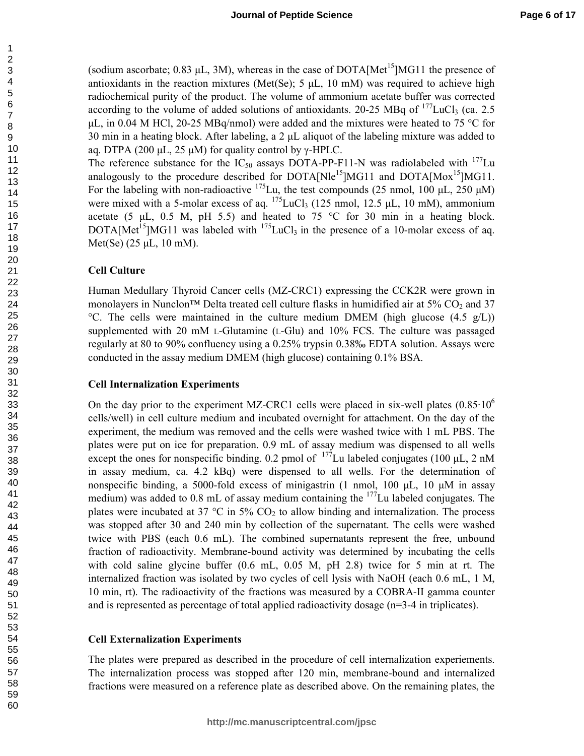(sodium ascorbate; 0.83  $\mu$ L, 3M), whereas in the case of DOTA[Met<sup>15</sup>]MG11 the presence of antioxidants in the reaction mixtures (Met(Se);  $5 \mu L$ , 10 mM) was required to achieve high radiochemical purity of the product. The volume of ammonium acetate buffer was corrected according to the volume of added solutions of antioxidants. 20-25 MBq of  $^{177}$ LuCl<sub>3</sub> (ca. 2.5)  $\mu$ L, in 0.04 M HCl, 20-25 MBq/nmol) were added and the mixtures were heated to 75 °C for 30 min in a heating block. After labeling, a  $2 \mu L$  aliquot of the labeling mixture was added to aq. DTPA (200 μL, 25 μM) for quality control by γ-HPLC.

The reference substance for the  $IC_{50}$  assays DOTA-PP-F11-N was radiolabeled with <sup>177</sup>Lu analogously to the procedure described for DOTA[Nle<sup>15</sup>]MG11 and DOTA[Mox<sup>15</sup>]MG11. For the labeling with non-radioactive  $^{175}$ Lu, the test compounds (25 nmol, 100 µL, 250 µM) were mixed with a 5-molar excess of aq.  $^{175}$ LuCl<sub>3</sub> (125 nmol, 12.5 µL, 10 mM), ammonium acetate (5  $\mu$ L, 0.5 M, pH 5.5) and heated to 75 °C for 30 min in a heating block. DOTA[Met<sup>15</sup>]MG11 was labeled with  $^{175}$ LuCl<sub>3</sub> in the presence of a 10-molar excess of aq. Met(Se) (25 µL, 10 mM).

#### **Cell Culture**

Human Medullary Thyroid Cancer cells (MZ-CRC1) expressing the CCK2R were grown in monolayers in Nunclon<sup>™</sup> Delta treated cell culture flasks in humidified air at 5%  $CO<sub>2</sub>$  and 37 °C. The cells were maintained in the culture medium DMEM (high glucose  $(4.5 \text{ g/L})$ ) supplemented with 20 mM L-Glutamine (L-Glu) and 10% FCS. The culture was passaged regularly at 80 to 90% confluency using a 0.25% trypsin 0.38‰ EDTA solution. Assays were conducted in the assay medium DMEM (high glucose) containing 0.1% BSA.

#### **Cell Internalization Experiments**

On the day prior to the experiment MZ-CRC1 cells were placed in six-well plates  $(0.85 \cdot 10^6$ cells/well) in cell culture medium and incubated overnight for attachment. On the day of the experiment, the medium was removed and the cells were washed twice with 1 mL PBS. The plates were put on ice for preparation. 0.9 mL of assay medium was dispensed to all wells except the ones for nonspecific binding. 0.2 pmol of  $^{177}$ Lu labeled conjugates (100 µL, 2 nM in assay medium, ca. 4.2 kBq) were dispensed to all wells. For the determination of nonspecific binding, a 5000-fold excess of minigastrin (1 nmol, 100  $\mu$ L, 10  $\mu$ M in assay medium) was added to 0.8 mL of assay medium containing the  $177$ Lu labeled conjugates. The plates were incubated at 37  $\degree$ C in 5% CO<sub>2</sub> to allow binding and internalization. The process was stopped after 30 and 240 min by collection of the supernatant. The cells were washed twice with PBS (each 0.6 mL). The combined supernatants represent the free, unbound fraction of radioactivity. Membrane-bound activity was determined by incubating the cells with cold saline glycine buffer (0.6 mL, 0.05 M, pH 2.8) twice for 5 min at rt. The internalized fraction was isolated by two cycles of cell lysis with NaOH (each 0.6 mL, 1 M, 10 min, rt). The radioactivity of the fractions was measured by a COBRA-II gamma counter and is represented as percentage of total applied radioactivity dosage (n=3-4 in triplicates).

#### **Cell Externalization Experiments**

The plates were prepared as described in the procedure of cell internalization experiements. The internalization process was stopped after 120 min, membrane-bound and internalized fractions were measured on a reference plate as described above. On the remaining plates, the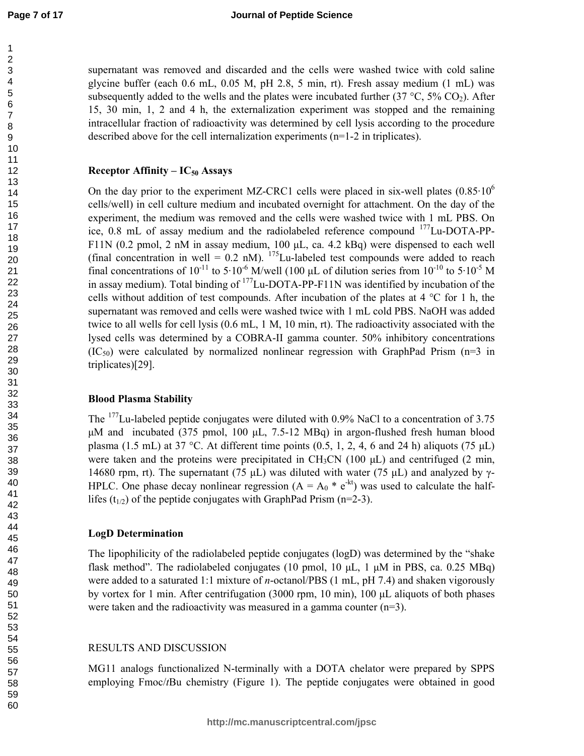**Page 7 of 17**

supernatant was removed and discarded and the cells were washed twice with cold saline glycine buffer (each 0.6 mL, 0.05 M, pH 2.8, 5 min, rt). Fresh assay medium (1 mL) was subsequently added to the wells and the plates were incubated further  $(37 \degree C, 5\% \degree CO_2)$ . After 15, 30 min, 1, 2 and 4 h, the externalization experiment was stopped and the remaining intracellular fraction of radioactivity was determined by cell lysis according to the procedure described above for the cell internalization experiments (n=1-2 in triplicates).

## **Receptor Affinity – IC50 Assays**

On the day prior to the experiment MZ-CRC1 cells were placed in six-well plates  $(0.85 \cdot 10^6$ cells/well) in cell culture medium and incubated overnight for attachment. On the day of the experiment, the medium was removed and the cells were washed twice with 1 mL PBS. On ice, 0.8 mL of assay medium and the radiolabeled reference compound <sup>177</sup>Lu-DOTA-PP-F11N (0.2 pmol, 2 nM in assay medium, 100 µL, ca. 4.2 kBq) were dispensed to each well (final concentration in well =  $0.2$  nM).  $175$ Lu-labeled test compounds were added to reach final concentrations of  $10^{-11}$  to  $5.10^{-6}$  M/well (100 µL of dilution series from  $10^{-10}$  to  $5.10^{-5}$  M in assay medium). Total binding of  $^{177}$ Lu-DOTA-PP-F11N was identified by incubation of the cells without addition of test compounds. After incubation of the plates at 4 °C for 1 h, the supernatant was removed and cells were washed twice with 1 mL cold PBS. NaOH was added twice to all wells for cell lysis (0.6 mL, 1 M, 10 min, rt). The radioactivity associated with the lysed cells was determined by a COBRA-II gamma counter. 50% inhibitory concentrations  $(IC_{50})$  were calculated by normalized nonlinear regression with GraphPad Prism (n=3 in triplicates)[29].

## **Blood Plasma Stability**

The <sup>177</sup>Lu-labeled peptide conjugates were diluted with 0.9% NaCl to a concentration of 3.75 µM and incubated (375 pmol, 100 µL, 7.5-12 MBq) in argon-flushed fresh human blood plasma (1.5 mL) at 37 °C. At different time points (0.5, 1, 2, 4, 6 and 24 h) aliquots (75  $\mu$ L) were taken and the proteins were precipitated in  $CH_3CN$  (100  $\mu$ L) and centrifuged (2 min, 14680 rpm, rt). The supernatant (75 μL) was diluted with water (75 μL) and analyzed by  $γ$ -HPLC. One phase decay nonlinear regression ( $A = A_0 * e^{-kt}$ ) was used to calculate the halflifes ( $t_{1/2}$ ) of the peptide conjugates with GraphPad Prism (n=2-3).

#### **LogD Determination**

The lipophilicity of the radiolabeled peptide conjugates (logD) was determined by the "shake flask method". The radiolabeled conjugates (10 pmol, 10  $\mu$ L, 1  $\mu$ M in PBS, ca. 0.25 MBq) were added to a saturated 1:1 mixture of *n*-octanol/PBS (1 mL, pH 7.4) and shaken vigorously by vortex for 1 min. After centrifugation (3000 rpm, 10 min), 100 µL aliquots of both phases were taken and the radioactivity was measured in a gamma counter (n=3).

## RESULTS AND DISCUSSION

MG11 analogs functionalized N-terminally with a DOTA chelator were prepared by SPPS employing Fmoc/*t*Bu chemistry (Figure 1). The peptide conjugates were obtained in good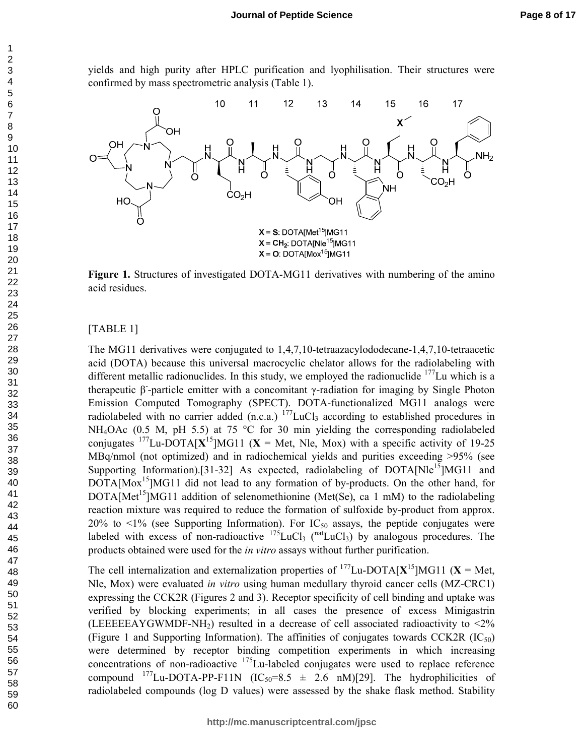yields and high purity after HPLC purification and lyophilisation. Their structures were confirmed by mass spectrometric analysis (Table 1).



**Figure 1.** Structures of investigated DOTA-MG11 derivatives with numbering of the amino acid residues.

### [TABLE 1]

The MG11 derivatives were conjugated to 1,4,7,10-tetraazacylododecane-1,4,7,10-tetraacetic acid (DOTA) because this universal macrocyclic chelator allows for the radiolabeling with different metallic radionuclides. In this study, we employed the radionuclide Lu which is a therapeutic β-particle emitter with a concomitant γ-radiation for imaging by Single Photon Emission Computed Tomography (SPECT). DOTA-functionalized MG11 analogs were radiolabeled with no carrier added (n.c.a.) <sup>177</sup>LuCl<sub>3</sub> according to established procedures in NH<sub>4</sub>OAc (0.5 M, pH 5.5) at 75 °C for 30 min yielding the corresponding radiolabeled conjugates <sup>177</sup>Lu-DOTA $[X^{15}]$ MG11 (**X** = Met, Nle, Mox) with a specific activity of 19-25 MBq/nmol (not optimized) and in radiochemical yields and purities exceeding >95% (see Supporting Information).[31-32] As expected, radiolabeling of  $DOTA[Nle^{15}]MG11$  and  $DOTA[{\text{Mox}}^{15}]MG11$  did not lead to any formation of by-products. On the other hand, for  $DOTA[Met^{15}]MG11$  addition of selenomethionine (Met(Se), ca 1 mM) to the radiolabeling reaction mixture was required to reduce the formation of sulfoxide by-product from approx. 20% to  $\leq$ 1% (see Supporting Information). For IC<sub>50</sub> assays, the peptide conjugates were labeled with excess of non-radioactive  $^{175}$ LuCl<sub>3</sub> ( $^{nat}$ LuCl<sub>3</sub>) by analogous procedures. The products obtained were used for the *in vitro* assays without further purification.

The cell internalization and externalization properties of  $^{177}$ Lu-DOTA[ $X^{15}$ ]MG11 ( $X =$ Met, Nle, Mox) were evaluated *in vitro* using human medullary thyroid cancer cells (MZ-CRC1) expressing the CCK2R (Figures 2 and 3). Receptor specificity of cell binding and uptake was verified by blocking experiments; in all cases the presence of excess Minigastrin (LEEEEAYGWMDF-NH<sub>2</sub>) resulted in a decrease of cell associated radioactivity to  $\langle 2\%$ (Figure 1 and Supporting Information). The affinities of conjugates towards CCK2R  $(IC_{50})$ were determined by receptor binding competition experiments in which increasing concentrations of non-radioactive  $^{175}$ Lu-labeled conjugates were used to replace reference compound  $^{177}$ Lu-DOTA-PP-F11N (IC<sub>50</sub>=8.5  $\pm$  2.6 nM)[29]. The hydrophilicities of radiolabeled compounds (log D values) were assessed by the shake flask method. Stability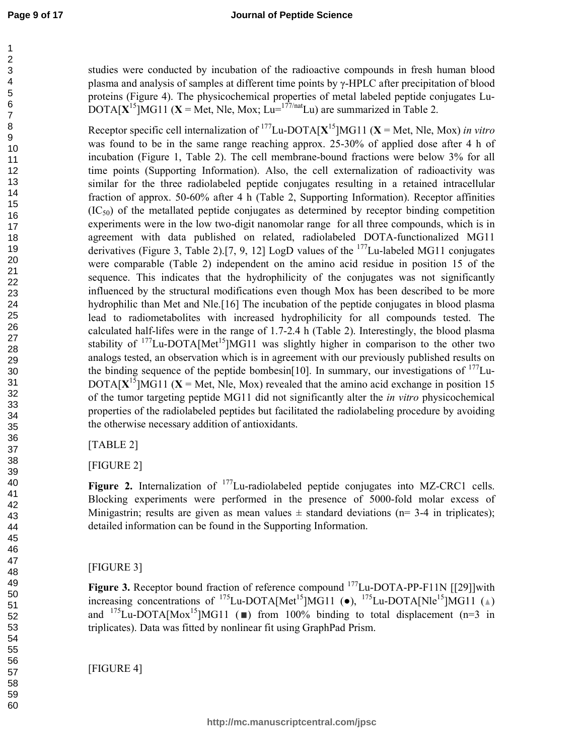studies were conducted by incubation of the radioactive compounds in fresh human blood plasma and analysis of samples at different time points by γ-HPLC after precipitation of blood proteins (Figure 4). The physicochemical properties of metal labeled peptide conjugates Lu-DOTA $[X^{15}]$ MG11 (**X** = Met, Nle, Mox; Lu= $^{177/nat}$ Lu) are summarized in Table 2.

Receptor specific cell internalization of <sup>177</sup>Lu-DOTA[**X** <sup>15</sup>]MG11 (**X** = Met, Nle, Mox) *in vitro* was found to be in the same range reaching approx. 25-30% of applied dose after 4 h of incubation (Figure 1, Table 2). The cell membrane-bound fractions were below 3% for all time points (Supporting Information). Also, the cell externalization of radioactivity was similar for the three radiolabeled peptide conjugates resulting in a retained intracellular fraction of approx. 50-60% after 4 h (Table 2, Supporting Information). Receptor affinities  $(IC<sub>50</sub>)$  of the metallated peptide conjugates as determined by receptor binding competition experiments were in the low two-digit nanomolar range for all three compounds, which is in agreement with data published on related, radiolabeled DOTA-functionalized MG11 derivatives (Figure 3, Table 2).[7, 9, 12] LogD values of the  $^{177}$ Lu-labeled MG11 conjugates were comparable (Table 2) independent on the amino acid residue in position 15 of the sequence. This indicates that the hydrophilicity of the conjugates was not significantly influenced by the structural modifications even though Mox has been described to be more hydrophilic than Met and Nle.[16] The incubation of the peptide conjugates in blood plasma lead to radiometabolites with increased hydrophilicity for all compounds tested. The calculated half-lifes were in the range of 1.7-2.4 h (Table 2). Interestingly, the blood plasma stability of Lu-DOTA[Met<sup>15</sup>]MG11 was slightly higher in comparison to the other two analogs tested, an observation which is in agreement with our previously published results on the binding sequence of the peptide bombesin[10]. In summary, our investigations of Lu-DOTA $[X<sup>15</sup>]$ MG11 ( $X$  = Met, Nle, Mox) revealed that the amino acid exchange in position 15 of the tumor targeting peptide MG11 did not significantly alter the *in vitro* physicochemical properties of the radiolabeled peptides but facilitated the radiolabeling procedure by avoiding the otherwise necessary addition of antioxidants.

[TABLE 2]

[FIGURE 2]

Figure 2. Internalization of <sup>177</sup>Lu-radiolabeled peptide conjugates into MZ-CRC1 cells. Blocking experiments were performed in the presence of 5000-fold molar excess of Minigastrin; results are given as mean values  $\pm$  standard deviations (n= 3-4 in triplicates); detailed information can be found in the Supporting Information.

[FIGURE 3]

**Figure 3.** Receptor bound fraction of reference compound <sup>177</sup>Lu-DOTA-PP-F11N [[29]]with increasing concentrations of  $^{175}$ Lu-DOTA[Met<sup>15</sup>]MG11 ( $\bullet$ ),  $^{175}$ Lu-DOTA[Nle<sup>15</sup>]MG11 ( $\triangle$ ) and  $^{175}$ Lu-DOTA[Mox<sup>15</sup>]MG11 ( $\blacksquare$ ) from 100% binding to total displacement (n=3 in triplicates). Data was fitted by nonlinear fit using GraphPad Prism.

[FIGURE 4]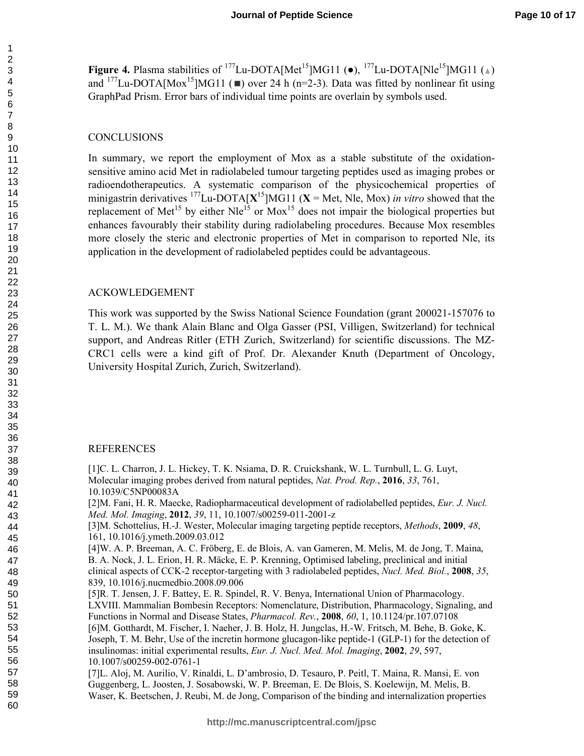**Figure 4.** Plasma stabilities of <sup>177</sup>Lu-DOTA[Met<sup>15</sup>]MG11 ( $\bullet$ ), <sup>177</sup>Lu-DOTA[Nle<sup>15</sup>]MG11 ( $\triangle$ ) and <sup>177</sup>Lu-DOTA[Mox<sup>15</sup>]MG11 ( $\blacksquare$ ) over 24 h (n=2-3). Data was fitted by nonlinear fit using GraphPad Prism. Error bars of individual time points are overlain by symbols used.

#### **CONCLUSIONS**

In summary, we report the employment of Mox as a stable substitute of the oxidationsensitive amino acid Met in radiolabeled tumour targeting peptides used as imaging probes or radioendotherapeutics. A systematic comparison of the physicochemical properties of minigastrin derivatives  $^{177}$ Lu-DOTA[ $X$ <sup>15</sup>]MG11 ( $X$  = Met, Nle, Mox) *in vitro* showed that the replacement of Met<sup>15</sup> by either Nle<sup>15</sup> or Mox<sup>15</sup> does not impair the biological properties but enhances favourably their stability during radiolabeling procedures. Because Mox resembles more closely the steric and electronic properties of Met in comparison to reported Nle, its application in the development of radiolabeled peptides could be advantageous.

#### ACKOWLEDGEMENT

This work was supported by the Swiss National Science Foundation (grant 200021-157076 to T. L. M.). We thank Alain Blanc and Olga Gasser (PSI, Villigen, Switzerland) for technical support, and Andreas Ritler (ETH Zurich, Switzerland) for scientific discussions. The MZ-CRC1 cells were a kind gift of Prof. Dr. Alexander Knuth (Department of Oncology, University Hospital Zurich, Zurich, Switzerland).

#### REFERENCES

[1]C. L. Charron, J. L. Hickey, T. K. Nsiama, D. R. Cruickshank, W. L. Turnbull, L. G. Luyt, Molecular imaging probes derived from natural peptides, *Nat. Prod. Rep.*, **2016**, *33*, 761, 10.1039/C5NP00083A [2]M. Fani, H. R. Maecke, Radiopharmaceutical development of radiolabelled peptides, *Eur. J. Nucl. Med. Mol. Imaging*, **2012**, *39*, 11, 10.1007/s00259-011-2001-z [3]M. Schottelius, H.-J. Wester, Molecular imaging targeting peptide receptors, *Methods*, **2009**, *48*, 161, 10.1016/j.ymeth.2009.03.012 [4]W. A. P. Breeman, A. C. Fröberg, E. de Blois, A. van Gameren, M. Melis, M. de Jong, T. Maina, B. A. Nock, J. L. Erion, H. R. Mäcke, E. P. Krenning, Optimised labeling, preclinical and initial clinical aspects of CCK-2 receptor-targeting with 3 radiolabeled peptides, *Nucl. Med. Biol.*, **2008**, *35*, 839, 10.1016/j.nucmedbio.2008.09.006 [5]R. T. Jensen, J. F. Battey, E. R. Spindel, R. V. Benya, International Union of Pharmacology. LXVIII. Mammalian Bombesin Receptors: Nomenclature, Distribution, Pharmacology, Signaling, and Functions in Normal and Disease States, *Pharmacol. Rev.*, **2008**, *60*, 1, 10.1124/pr.107.07108 [6]M. Gotthardt, M. Fischer, I. Naeher, J. B. Holz, H. Jungclas, H.-W. Fritsch, M. Behe, B. Goke, K. Joseph, T. M. Behr, Use of the incretin hormone glucagon-like peptide-1 (GLP-1) for the detection of insulinomas: initial experimental results, *Eur. J. Nucl. Med. Mol. Imaging*, **2002**, *29*, 597, 10.1007/s00259-002-0761-1 [7]L. Aloj, M. Aurilio, V. Rinaldi, L. D'ambrosio, D. Tesauro, P. Peitl, T. Maina, R. Mansi, E. von Guggenberg, L. Joosten, J. Sosabowski, W. P. Breeman, E. De Blois, S. Koelewijn, M. Melis, B. Waser, K. Beetschen, J. Reubi, M. de Jong, Comparison of the binding and internalization properties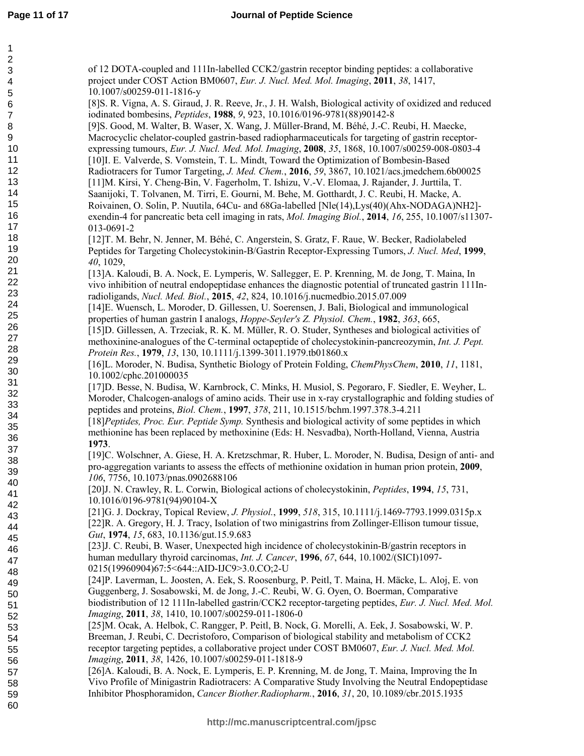| of 12 DOTA-coupled and 111In-labelled CCK2/gastrin receptor binding peptides: a collaborative<br>project under COST Action BM0607, Eur. J. Nucl. Med. Mol. Imaging, 2011, 38, 1417,<br>10.1007/s00259-011-1816-y<br>[8] S. R. Vigna, A. S. Giraud, J. R. Reeve, Jr., J. H. Walsh, Biological activity of oxidized and reduced<br>iodinated bombesins, Peptides, 1988, 9, 923, 10.1016/0196-9781(88)90142-8<br>[9]S. Good, M. Walter, B. Waser, X. Wang, J. Müller-Brand, M. Béhé, J.-C. Reubi, H. Maecke,<br>Macrocyclic chelator-coupled gastrin-based radiopharmaceuticals for targeting of gastrin receptor-<br>expressing tumours, Eur. J. Nucl. Med. Mol. Imaging, 2008, 35, 1868, 10.1007/s00259-008-0803-4<br>[10] I. E. Valverde, S. Vomstein, T. L. Mindt, Toward the Optimization of Bombesin-Based<br>Radiotracers for Tumor Targeting, J. Med. Chem., 2016, 59, 3867, 10.1021/acs.jmedchem.6b00025<br>[11]M. Kirsi, Y. Cheng-Bin, V. Fagerholm, T. Ishizu, V.-V. Elomaa, J. Rajander, J. Jurttila, T.<br>Saanijoki, T. Tolvanen, M. Tirri, E. Gourni, M. Behe, M. Gotthardt, J. C. Reubi, H. Macke, A.<br>Roivainen, O. Solin, P. Nuutila, 64Cu- and 68Ga-labelled [Nle(14), Lys(40)(Ahx-NODAGA)NH2]- |
|-------------------------------------------------------------------------------------------------------------------------------------------------------------------------------------------------------------------------------------------------------------------------------------------------------------------------------------------------------------------------------------------------------------------------------------------------------------------------------------------------------------------------------------------------------------------------------------------------------------------------------------------------------------------------------------------------------------------------------------------------------------------------------------------------------------------------------------------------------------------------------------------------------------------------------------------------------------------------------------------------------------------------------------------------------------------------------------------------------------------------------------------------------------------------------------------------------------------|
| exendin-4 for pancreatic beta cell imaging in rats, <i>Mol. Imaging Biol.</i> , <b>2014</b> , 16, 255, 10.1007/s11307-<br>013-0691-2<br>[12] T. M. Behr, N. Jenner, M. Béhé, C. Angerstein, S. Gratz, F. Raue, W. Becker, Radiolabeled                                                                                                                                                                                                                                                                                                                                                                                                                                                                                                                                                                                                                                                                                                                                                                                                                                                                                                                                                                            |
| Peptides for Targeting Cholecystokinin-B/Gastrin Receptor-Expressing Tumors, J. Nucl. Med, 1999,<br>40, 1029,                                                                                                                                                                                                                                                                                                                                                                                                                                                                                                                                                                                                                                                                                                                                                                                                                                                                                                                                                                                                                                                                                                     |
| [13] A. Kaloudi, B. A. Nock, E. Lymperis, W. Sallegger, E. P. Krenning, M. de Jong, T. Maina, In<br>vivo inhibition of neutral endopeptidase enhances the diagnostic potential of truncated gastrin 111In-<br>radioligands, Nucl. Med. Biol., 2015, 42, 824, 10.1016/j.nucmedbio.2015.07.009<br>[14]E. Wuensch, L. Moroder, D. Gillessen, U. Soerensen, J. Bali, Biological and immunological<br>properties of human gastrin I analogs, <i>Hoppe-Seyler's Z. Physiol. Chem.</i> , 1982, 363, 665,                                                                                                                                                                                                                                                                                                                                                                                                                                                                                                                                                                                                                                                                                                                 |
| [15]D. Gillessen, A. Trzeciak, R. K. M. Müller, R. O. Studer, Syntheses and biological activities of<br>methoxinine-analogues of the C-terminal octapeptide of cholecystokinin-pancreozymin, Int. J. Pept.<br>Protein Res., 1979, 13, 130, 10.1111/j.1399-3011.1979.tb01860.x                                                                                                                                                                                                                                                                                                                                                                                                                                                                                                                                                                                                                                                                                                                                                                                                                                                                                                                                     |
| [16]L. Moroder, N. Budisa, Synthetic Biology of Protein Folding, ChemPhysChem, 2010, 11, 1181,<br>10.1002/cphc.201000035                                                                                                                                                                                                                                                                                                                                                                                                                                                                                                                                                                                                                                                                                                                                                                                                                                                                                                                                                                                                                                                                                          |
| [17]D. Besse, N. Budisa, W. Karnbrock, C. Minks, H. Musiol, S. Pegoraro, F. Siedler, E. Weyher, L.<br>Moroder, Chalcogen-analogs of amino acids. Their use in x-ray crystallographic and folding studies of<br>peptides and proteins, <i>Biol. Chem.</i> , 1997, 378, 211, 10.1515/bchm.1997.378.3-4.211                                                                                                                                                                                                                                                                                                                                                                                                                                                                                                                                                                                                                                                                                                                                                                                                                                                                                                          |
| [18] Peptides, Proc. Eur. Peptide Symp. Synthesis and biological activity of some peptides in which<br>methionine has been replaced by methoxinine (Eds: H. Nesvadba), North-Holland, Vienna, Austria<br>1973.                                                                                                                                                                                                                                                                                                                                                                                                                                                                                                                                                                                                                                                                                                                                                                                                                                                                                                                                                                                                    |
| [19]C. Wolschner, A. Giese, H. A. Kretzschmar, R. Huber, L. Moroder, N. Budisa, Design of anti- and<br>pro-aggregation variants to assess the effects of methionine oxidation in human prion protein, 2009,<br>106, 7756, 10.1073/pnas.0902688106                                                                                                                                                                                                                                                                                                                                                                                                                                                                                                                                                                                                                                                                                                                                                                                                                                                                                                                                                                 |
| [20] J. N. Crawley, R. L. Corwin, Biological actions of cholecystokinin, Peptides, 1994, 15, 731,<br>10.1016/0196-9781(94)90104-X                                                                                                                                                                                                                                                                                                                                                                                                                                                                                                                                                                                                                                                                                                                                                                                                                                                                                                                                                                                                                                                                                 |
| [21]G. J. Dockray, Topical Review, J. Physiol., 1999, 518, 315, 10.1111/j.1469-7793.1999.0315p.x<br>[22] R. A. Gregory, H. J. Tracy, Isolation of two minigastrins from Zollinger-Ellison tumour tissue,<br>Gut, 1974, 15, 683, 10.1136/gut.15.9.683                                                                                                                                                                                                                                                                                                                                                                                                                                                                                                                                                                                                                                                                                                                                                                                                                                                                                                                                                              |
| [23] J. C. Reubi, B. Waser, Unexpected high incidence of cholecystokinin-B/gastrin receptors in<br>human medullary thyroid carcinomas, Int. J. Cancer, 1996, 67, 644, 10.1002/(SICI)1097-<br>0215(19960904)67:5<644::AID-IJC9>3.0.CO;2-U                                                                                                                                                                                                                                                                                                                                                                                                                                                                                                                                                                                                                                                                                                                                                                                                                                                                                                                                                                          |
| [24]P. Laverman, L. Joosten, A. Eek, S. Roosenburg, P. Peitl, T. Maina, H. Mäcke, L. Aloj, E. von<br>Guggenberg, J. Sosabowski, M. de Jong, J.-C. Reubi, W. G. Oyen, O. Boerman, Comparative<br>biodistribution of 12 111In-labelled gastrin/CCK2 receptor-targeting peptides, Eur. J. Nucl. Med. Mol.<br>Imaging, 2011, 38, 1410, 10.1007/s00259-011-1806-0                                                                                                                                                                                                                                                                                                                                                                                                                                                                                                                                                                                                                                                                                                                                                                                                                                                      |
| [25]M. Ocak, A. Helbok, C. Rangger, P. Peitl, B. Nock, G. Morelli, A. Eek, J. Sosabowski, W. P.<br>Breeman, J. Reubi, C. Decristoforo, Comparison of biological stability and metabolism of CCK2<br>receptor targeting peptides, a collaborative project under COST BM0607, Eur. J. Nucl. Med. Mol.<br>Imaging, 2011, 38, 1426, 10.1007/s00259-011-1818-9                                                                                                                                                                                                                                                                                                                                                                                                                                                                                                                                                                                                                                                                                                                                                                                                                                                         |
| [26]A. Kaloudi, B. A. Nock, E. Lymperis, E. P. Krenning, M. de Jong, T. Maina, Improving the In<br>Vivo Profile of Minigastrin Radiotracers: A Comparative Study Involving the Neutral Endopeptidase<br>Inhibitor Phosphoramidon, Cancer Biother.Radiopharm., 2016, 31, 20, 10.1089/cbr.2015.1935                                                                                                                                                                                                                                                                                                                                                                                                                                                                                                                                                                                                                                                                                                                                                                                                                                                                                                                 |
|                                                                                                                                                                                                                                                                                                                                                                                                                                                                                                                                                                                                                                                                                                                                                                                                                                                                                                                                                                                                                                                                                                                                                                                                                   |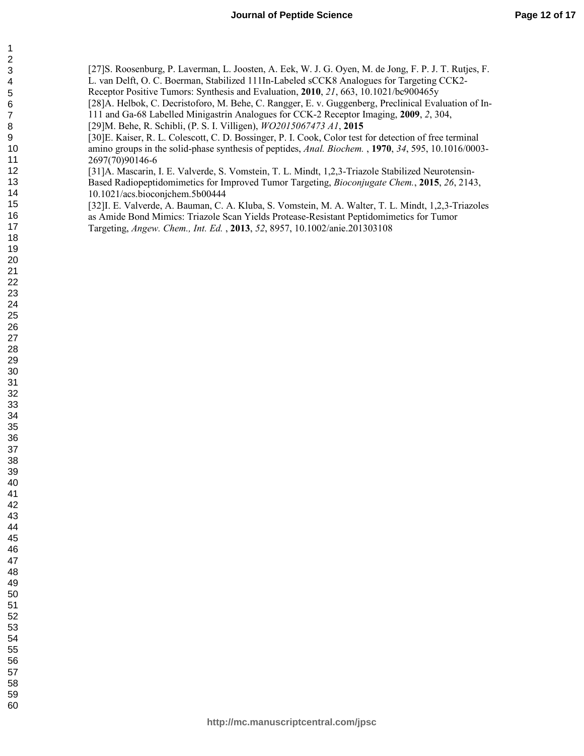[27]S. Roosenburg, P. Laverman, L. Joosten, A. Eek, W. J. G. Oyen, M. de Jong, F. P. J. T. Rutjes, F. L. van Delft, O. C. Boerman, Stabilized 111In-Labeled sCCK8 Analogues for Targeting CCK2- Receptor Positive Tumors: Synthesis and Evaluation, **2010**, *21*, 663, 10.1021/bc900465y [28]A. Helbok, C. Decristoforo, M. Behe, C. Rangger, E. v. Guggenberg, Preclinical Evaluation of In-111 and Ga-68 Labelled Minigastrin Analogues for CCK-2 Receptor Imaging, **2009**, *2*, 304,

[29]M. Behe, R. Schibli, (P. S. I. Villigen), *WO2015067473 A1*, **2015** 

[30]E. Kaiser, R. L. Colescott, C. D. Bossinger, P. I. Cook, Color test for detection of free terminal amino groups in the solid-phase synthesis of peptides, *Anal. Biochem.* , **1970**, *34*, 595, 10.1016/0003- 2697(70)90146-6

[31]A. Mascarin, I. E. Valverde, S. Vomstein, T. L. Mindt, 1,2,3-Triazole Stabilized Neurotensin-Based Radiopeptidomimetics for Improved Tumor Targeting, *Bioconjugate Chem.*, **2015**, *26*, 2143, 10.1021/acs.bioconjchem.5b00444

[32]I. E. Valverde, A. Bauman, C. A. Kluba, S. Vomstein, M. A. Walter, T. L. Mindt, 1,2,3-Triazoles as Amide Bond Mimics: Triazole Scan Yields Protease-Resistant Peptidomimetics for Tumor Targeting, *Angew. Chem., Int. Ed.* , **2013**, *52*, 8957, 10.1002/anie.201303108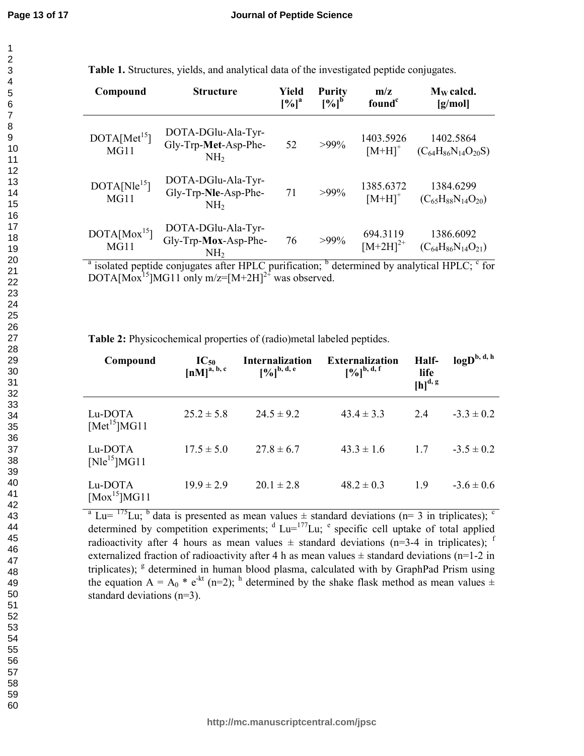| Compound                                                                                                                           | <b>Structure</b>                                              | Yield<br>$[%]$ <sup>a</sup> | <b>Purity</b><br>$[%]^{b}$ | m/z<br>found <sup>c</sup>         | $M_W$ calcd.<br>[g/mol]                    |
|------------------------------------------------------------------------------------------------------------------------------------|---------------------------------------------------------------|-----------------------------|----------------------------|-----------------------------------|--------------------------------------------|
| DOTA[Met <sup>15</sup> ]<br>MG11                                                                                                   | DOTA-DGlu-Ala-Tyr-<br>Gly-Trp-Met-Asp-Phe-<br>NH <sub>2</sub> | 52                          | $>99\%$                    | 1403.5926<br>$[M+H]$ <sup>+</sup> | 1402.5864<br>$(C_{64}H_{86}N_{14}O_{20}S)$ |
| $DOTA[Nle^{15}]$<br>MG11                                                                                                           | DOTA-DGlu-Ala-Tyr-<br>Gly-Trp-Nle-Asp-Phe-<br>NH <sub>2</sub> | 71                          | $>99\%$                    | 1385.6372<br>$[M+H]$ <sup>+</sup> | 1384.6299<br>$(C_{65}H_{88}N_{14}O_{20})$  |
| DOTA[Mox <sup>15</sup> ]<br>MG11                                                                                                   | DOTA-DGlu-Ala-Tyr-<br>Gly-Trp-Mox-Asp-Phe-<br>NH2             | 76                          | $>99\%$                    | 694.3119<br>$[M+2H]^{2+}$         | 1386.6092<br>$(C_{64}H_{86}N_{14}O_{21})$  |
| <sup>a</sup> isolated pentide conjugates after HDI C purification: $\frac{b}{c}$ determined by analytical HDI C, $\frac{c}{c}$ for |                                                               |                             |                            |                                   |                                            |

**Table 1.** Structures, yields, and analytical data of the investigated peptide conjugates.

isolated peptide conjugates after HPLC purification; <sup>b</sup> determined by analytical HPLC; <sup>c</sup> for DOTA[Mox<sup>15</sup>]MG11 only m/z=[M+2H]<sup>2+</sup> was observed.

**Table 2:** Physicochemical properties of (radio)metal labeled peptides.

| Compound                            | $IC_{50}$<br>$[nM]$ <sup>a, b, c</sup> | <b>Internalization</b><br>$[9/6]^{b, d, e}$ | <b>Externalization</b><br>$[9/6]^{b, d, f}$ | Half-<br>life<br>$[h]$ <sup>d, g</sup> | $logD^{b, d, h}$ |
|-------------------------------------|----------------------------------------|---------------------------------------------|---------------------------------------------|----------------------------------------|------------------|
| Lu-DOTA<br>[Met <sup>15</sup> ]MG11 | $25.2 \pm 5.8$                         | $24.5 \pm 9.2$                              | $43.4 \pm 3.3$                              | 24                                     | $-3.3 \pm 0.2$   |
| Lu-DOTA<br>$[N]e^{15}$ MG11         | $17.5 \pm 5.0$                         | $27.8 \pm 6.7$                              | $43.3 \pm 1.6$                              | 17                                     | $-3.5 \pm 0.2$   |
| Lu-DOTA<br>$[{\rm Mox}^{15}]$ MG11  | $19.9 \pm 2.9$                         | $20.1 \pm 2.8$                              | $48.2 \pm 0.3$                              | 1.9                                    | $-3.6 \pm 0.6$   |

 $a<sup>a</sup>$  Lu=  $175$  Lu;  $b<sup>b</sup>$  data is presented as mean values  $\pm$  standard deviations (n= 3 in triplicates);  $c<sup>c</sup>$ determined by competition experiments;  $d$  Lu= $^{177}$ Lu;  $e$  specific cell uptake of total applied radioactivity after 4 hours as mean values  $\pm$  standard deviations (n=3-4 in triplicates); f externalized fraction of radioactivity after 4 h as mean values  $\pm$  standard deviations (n=1-2 in triplicates);  $g$  determined in human blood plasma, calculated with by GraphPad Prism using the equation A =  $A_0$  \* e<sup>-kt</sup> (n=2); <sup>h</sup> determined by the shake flask method as mean values  $\pm$ standard deviations (n=3).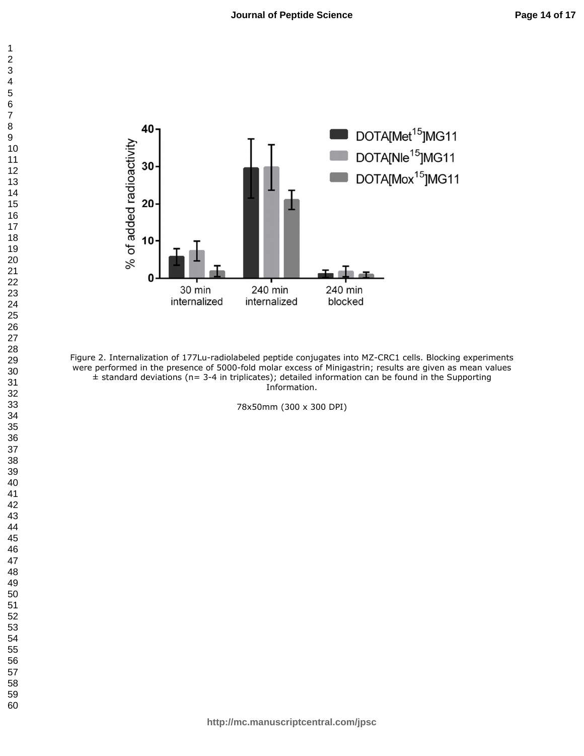

Figure 2. Internalization of 177Lu-radiolabeled peptide conjugates into MZ-CRC1 cells. Blocking experiments were performed in the presence of 5000-fold molar excess of Minigastrin; results are given as mean values  $±$  standard deviations (n= 3-4 in triplicates); detailed information can be found in the Supporting Information.

78x50mm (300 x 300 DPI)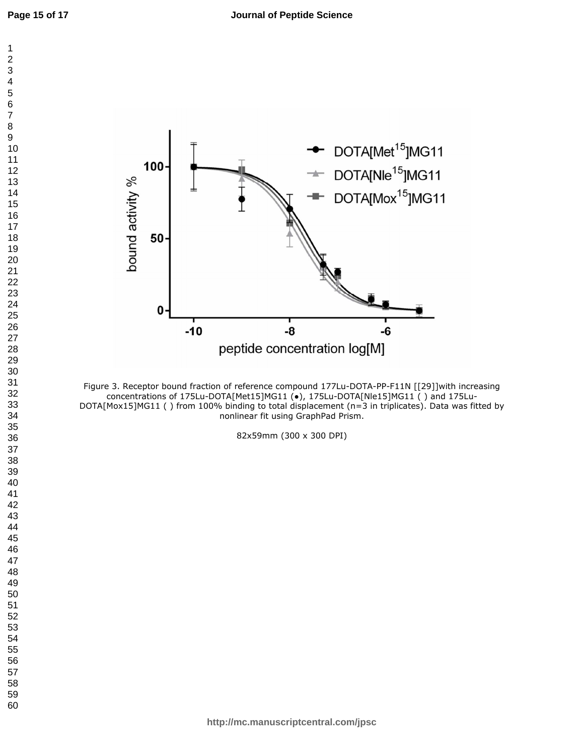

Figure 3. Receptor bound fraction of reference compound 177Lu-DOTA-PP-F11N [[29]]with increasing concentrations of 175Lu-DOTA[Met15]MG11 (●), 175Lu-DOTA[Nle15]MG11 ( ) and 175Lu-DOTA[Mox15]MG11 () from 100% binding to total displacement (n=3 in triplicates). Data was fitted by nonlinear fit using GraphPad Prism.

82x59mm (300 x 300 DPI)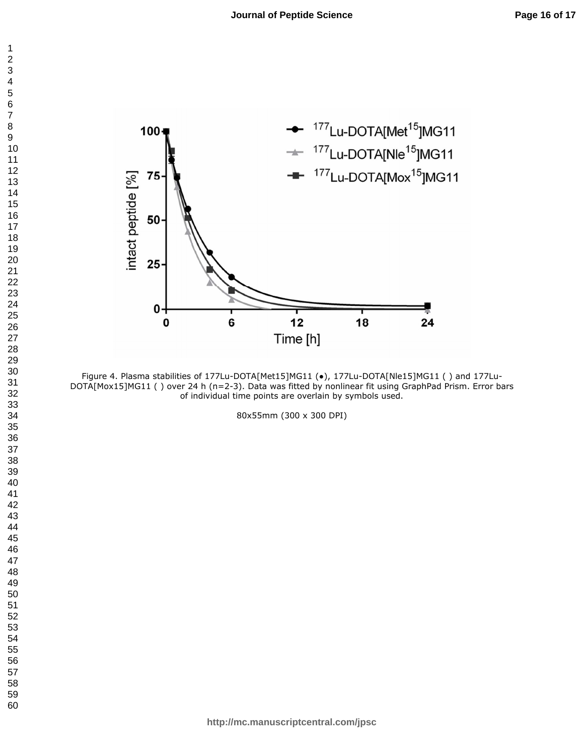

Figure 4. Plasma stabilities of 177Lu-DOTA[Met15]MG11 (●), 177Lu-DOTA[Nle15]MG11 ( ) and 177Lu-DOTA[Mox15]MG11 ( ) over 24 h (n=2-3). Data was fitted by nonlinear fit using GraphPad Prism. Error bars of individual time points are overlain by symbols used.

80x55mm (300 x 300 DPI)